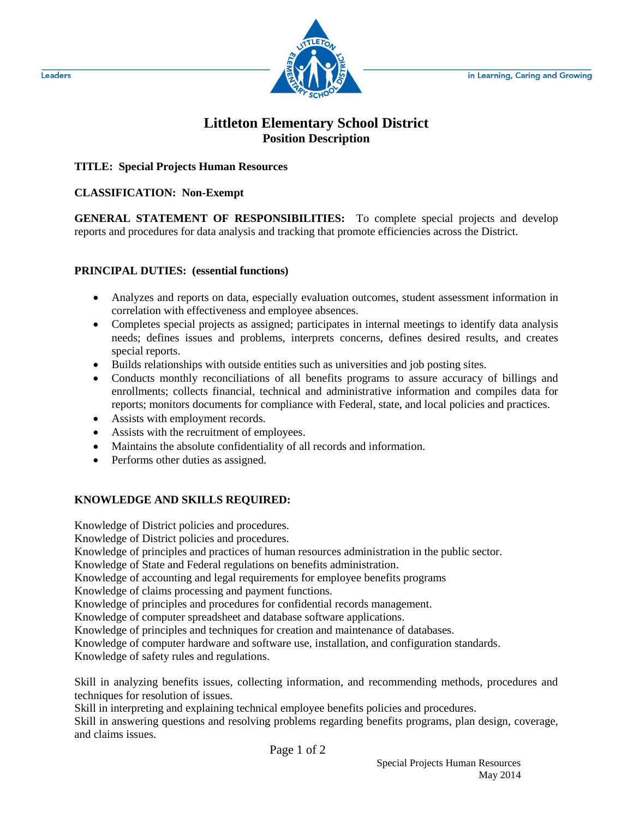

# **Littleton Elementary School District Position Description**

### **TITLE: Special Projects Human Resources**

### **CLASSIFICATION: Non-Exempt**

**GENERAL STATEMENT OF RESPONSIBILITIES:** To complete special projects and develop reports and procedures for data analysis and tracking that promote efficiencies across the District.

#### **PRINCIPAL DUTIES: (essential functions)**

- Analyzes and reports on data, especially evaluation outcomes, student assessment information in correlation with effectiveness and employee absences.
- Completes special projects as assigned; participates in internal meetings to identify data analysis needs; defines issues and problems, interprets concerns, defines desired results, and creates special reports.
- Builds relationships with outside entities such as universities and job posting sites.
- Conducts monthly reconciliations of all benefits programs to assure accuracy of billings and enrollments; collects financial, technical and administrative information and compiles data for reports; monitors documents for compliance with Federal, state, and local policies and practices.
- Assists with employment records.
- Assists with the recruitment of employees.
- Maintains the absolute confidentiality of all records and information.
- Performs other duties as assigned.

## **KNOWLEDGE AND SKILLS REQUIRED:**

Knowledge of District policies and procedures.

Knowledge of District policies and procedures.

Knowledge of principles and practices of human resources administration in the public sector.

Knowledge of State and Federal regulations on benefits administration.

Knowledge of accounting and legal requirements for employee benefits programs

Knowledge of claims processing and payment functions.

Knowledge of principles and procedures for confidential records management.

Knowledge of computer spreadsheet and database software applications.

Knowledge of principles and techniques for creation and maintenance of databases.

Knowledge of computer hardware and software use, installation, and configuration standards.

Knowledge of safety rules and regulations.

Skill in analyzing benefits issues, collecting information, and recommending methods, procedures and techniques for resolution of issues.

Skill in interpreting and explaining technical employee benefits policies and procedures.

Skill in answering questions and resolving problems regarding benefits programs, plan design, coverage, and claims issues.

Page 1 of 2